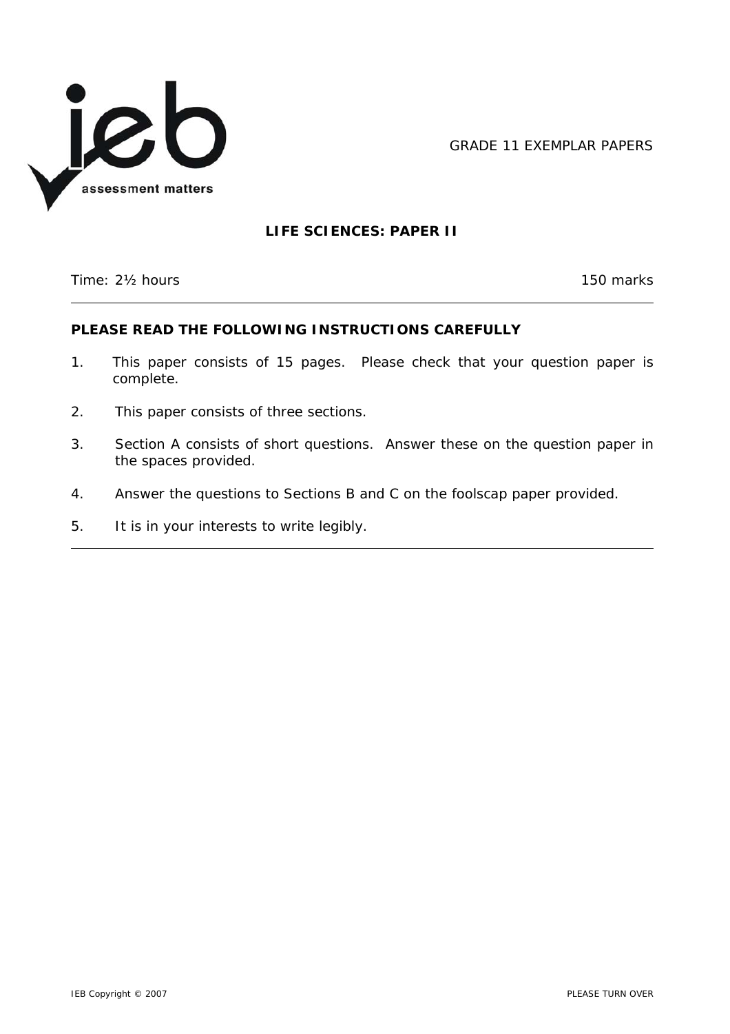

GRADE 11 EXEMPLAR PAPERS

# **LIFE SCIENCES: PAPER II**

Time: 2<sup>1</sup>/<sub>2</sub> hours 150 marks

 $\overline{\phantom{a}}$ 

### **PLEASE READ THE FOLLOWING INSTRUCTIONS CAREFULLY**

- 1. This paper consists of 15 pages. Please check that your question paper is complete.
- 2. This paper consists of three sections.
- 3. Section A consists of short questions. Answer these on the question paper in the spaces provided.
- 4. Answer the questions to Sections B and C on the foolscap paper provided.
- 5. It is in your interests to write legibly.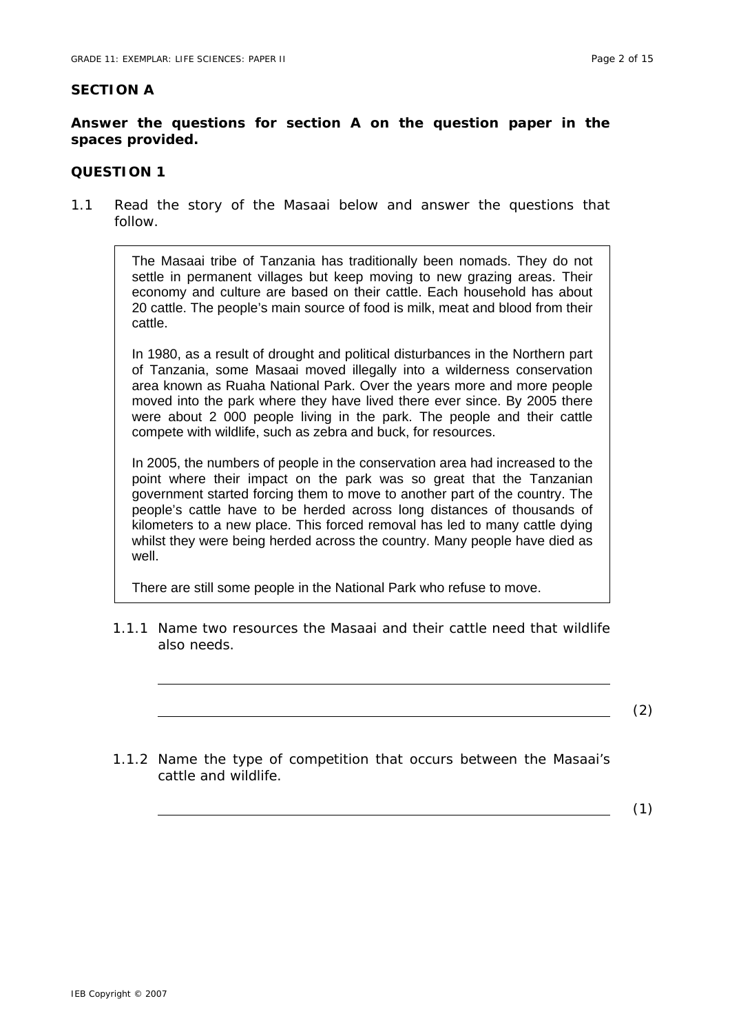### **SECTION A**

### **Answer the questions for section A on the question paper in the spaces provided.**

### **QUESTION 1**

1.1 Read the story of the Masaai below and answer the questions that follow.

> The Masaai tribe of Tanzania has traditionally been nomads. They do not settle in permanent villages but keep moving to new grazing areas. Their economy and culture are based on their cattle. Each household has about 20 cattle. The people's main source of food is milk, meat and blood from their cattle.

> In 1980, as a result of drought and political disturbances in the Northern part of Tanzania, some Masaai moved illegally into a wilderness conservation area known as Ruaha National Park. Over the years more and more people moved into the park where they have lived there ever since. By 2005 there were about 2 000 people living in the park. The people and their cattle compete with wildlife, such as zebra and buck, for resources.

> In 2005, the numbers of people in the conservation area had increased to the point where their impact on the park was so great that the Tanzanian government started forcing them to move to another part of the country. The people's cattle have to be herded across long distances of thousands of kilometers to a new place. This forced removal has led to many cattle dying whilst they were being herded across the country. Many people have died as well.

There are still some people in the National Park who refuse to move.

1.1.1 Name two resources the Masaai and their cattle need that wildlife also needs.

(2)

1.1.2 Name the type of competition that occurs between the Masaai's cattle and wildlife.

(1)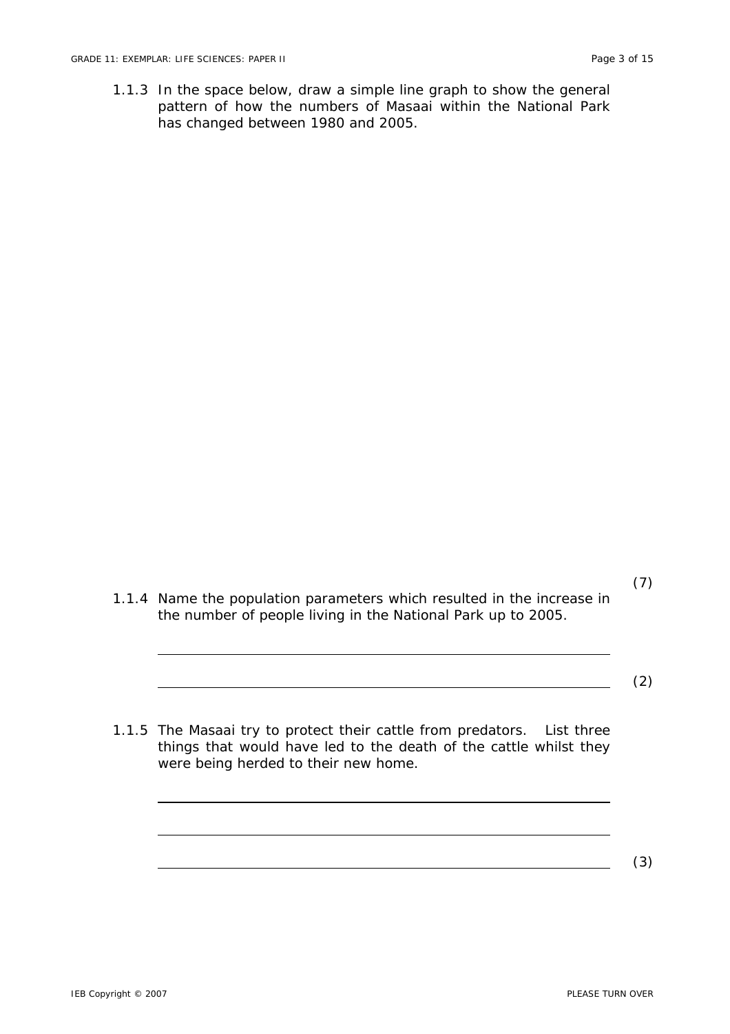1.1.3 In the space below, draw a simple line graph to show the general pattern of how the numbers of Masaai within the National Park has changed between 1980 and 2005.

(7) 1.1.4 Name the population parameters which resulted in the increase in the number of people living in the National Park up to 2005.

(2)

1.1.5 The Masaai try to protect their cattle from predators. List three things that would have led to the death of the cattle whilst they were being herded to their new home.

(3)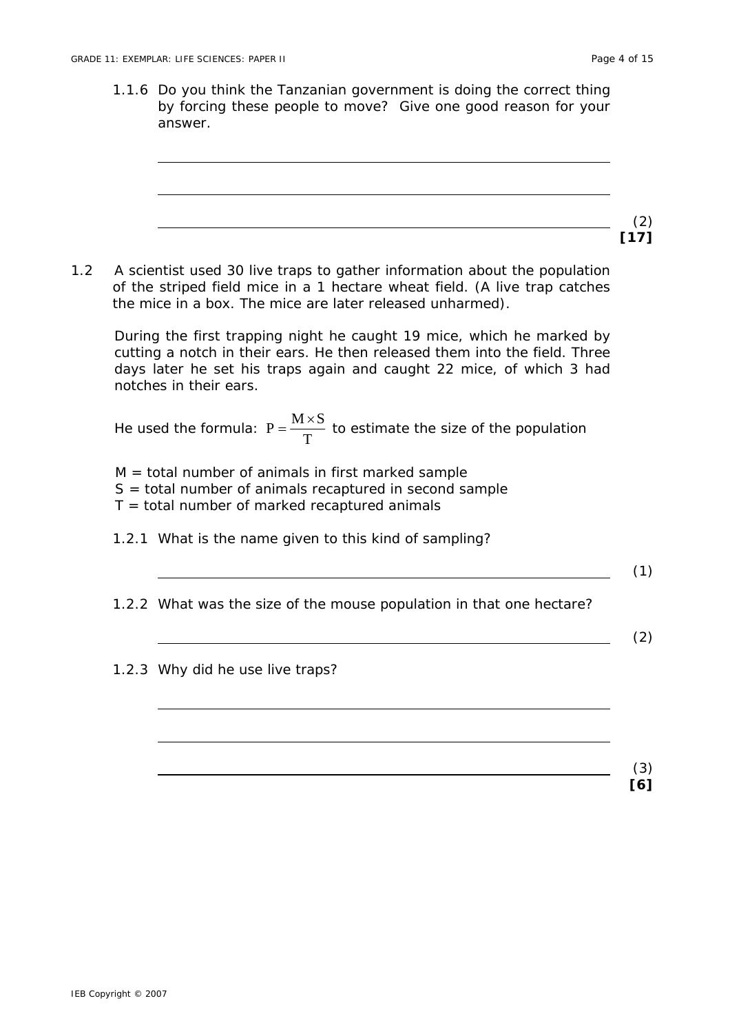1.1.6 Do you think the Tanzanian government is doing the correct thing by forcing these people to move? Give one good reason for your answer.

1.2 A scientist used 30 live traps to gather information about the population of the stripped field mice in a 1 hectare wheat field. (A live trap catches the mice in a box. The mice are later released unharmed).

\nDuring the first trapping night he caught 19 mice, which he marked by cutting a north in their ears. He then released them into the field. Three days later he set his traps again and caught 22 mice, of which 3 had notches in their ears.

\nHe used the formula: 
$$
P = \frac{M \times S}{T}
$$
 to estimate the size of the population  $N = \text{total number of animals in first marked sample}$   $S = \text{total number of animals recaptured in second sample}$   $T = \text{total number of marked recaptured in second sample}$   $T = \text{total number of marked recaptured animals}$   $1.2.1$  What is the name given to this kind of sampling?

\n1.2.2 What was the size of the mouse population in that one hectare?

\n2.2

\n3.2.3 Why did he use live traps?

\n3.2.3

\n4.2.4

\n5.2

\n6.3

\n7.4

\n8.4

\n9.5

\n1.6

\n1.7

\n1.8

\n1.9

\n1.1

\n1.1

\n1.2

\n1.2

\n1.2

\n1.2

\n1.2

\n1.2

\n1.2

\n1.2

\n1.2

\n1.2

\n1.2

\n1.2

\n1.2

\n1.2

\n1.2

\n1.2

\n1.2

\n1.2

\n1.2

\n1.2

\n1.2

\n1.2

\n1.2

\n1.2

\n1.2

\n1.2

\n1.2

\n1.2

\n1.2

\n1.2

\n1.2

\n1.2

\n1.2

\n1.2

\n1.2

\n1.2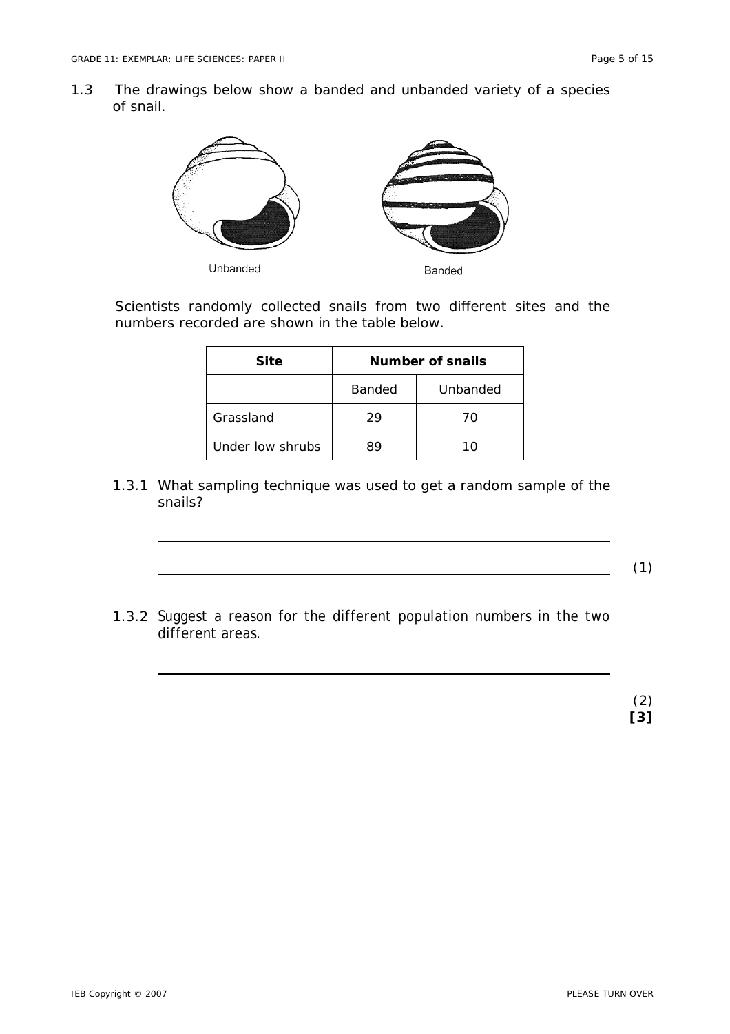1.3 The drawings below show a banded and unbanded variety of a species of snail.



Unbanded

Banded

Scientists randomly collected snails from two different sites and the numbers recorded are shown in the table below.

| <b>Site</b>      | Number of snails |          |  |  |
|------------------|------------------|----------|--|--|
|                  | Banded           | Unbanded |  |  |
| Grassland        | 29               | 70       |  |  |
| Under low shrubs | 89               | 10       |  |  |

1.3.1 What sampling technique was used to get a random sample of the snails?

(1)

1.3.2 Suggest a reason for the different population numbers in the two different areas.

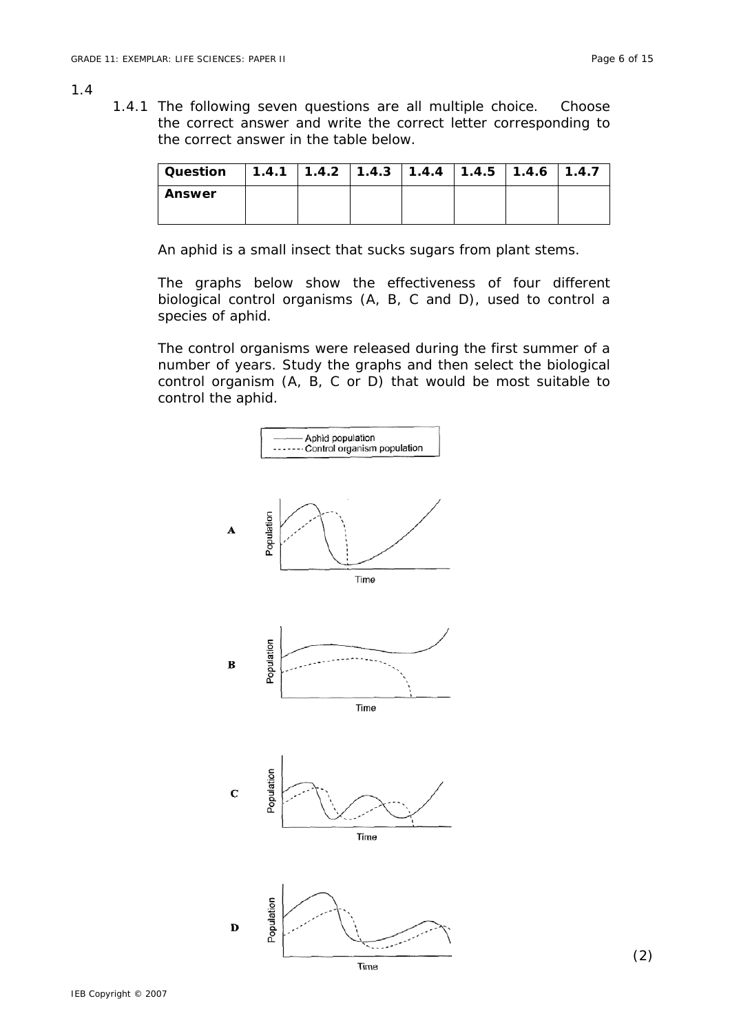#### 1.4

1.4.1 The following seven questions are all multiple choice. Choose the correct answer and write the correct letter corresponding to the correct answer in the table below.

| Question $\,$   1.4.1   1.4.2   1.4.3   1.4.4   1.4.5   1.4.6   1.4.7 |  |  |  |  |
|-----------------------------------------------------------------------|--|--|--|--|
| <b>Answer</b>                                                         |  |  |  |  |

An aphid is a small insect that sucks sugars from plant stems.

The graphs below show the effectiveness of four different biological control organisms (A, B, C and D), used to control a species of aphid.

The control organisms were released during the first summer of a number of years. Study the graphs and then select the biological control organism (A, B, C or D) that would be most suitable to control the aphid.

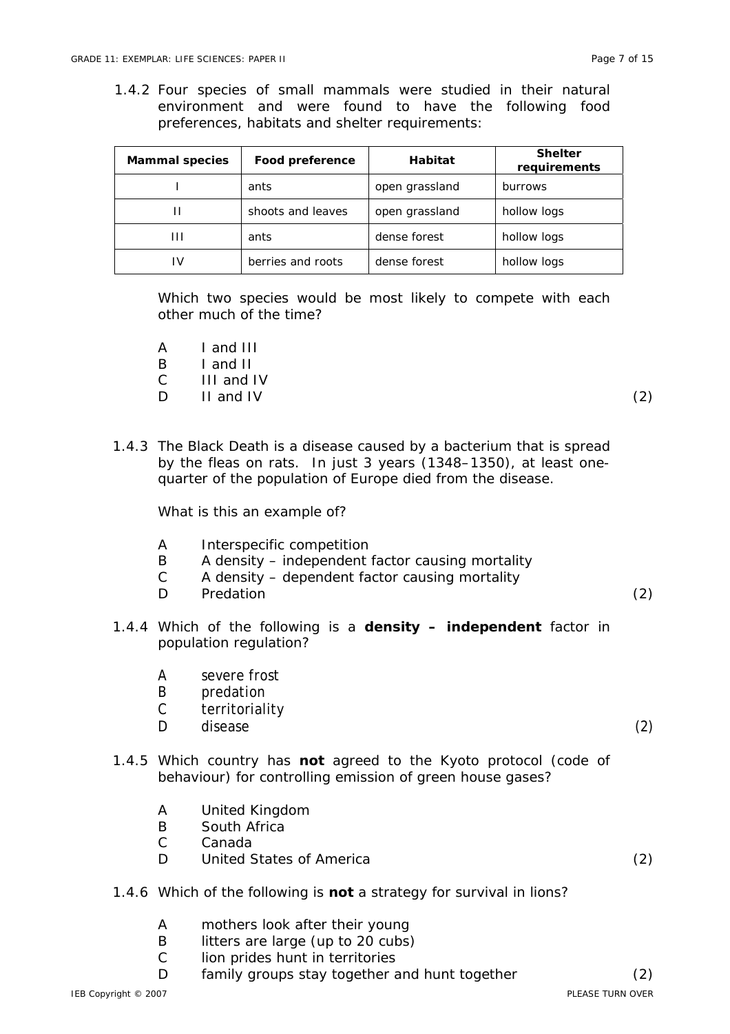1.4.2 Four species of small mammals were studied in their natural environment and were found to have the following food preferences, habitats and shelter requirements:

| <b>Mammal species</b> | Food preference   | <b>Habitat</b> | <b>Shelter</b><br>requirements |
|-----------------------|-------------------|----------------|--------------------------------|
|                       | ants              | open grassland | burrows                        |
|                       | shoots and leaves | open grassland | hollow logs                    |
| Ш                     | ants              | dense forest   | hollow logs                    |
| ı٧                    | berries and roots | dense forest   | hollow logs                    |

Which two species would be most likely to compete with each other much of the time?

- A I and III
- B I and II
- C III and IV
- $D$  II and IV (2)

1.4.3 The Black Death is a disease caused by a bacterium that is spread by the fleas on rats. In just 3 years (1348–1350), at least onequarter of the population of Europe died from the disease.

What is this an example of?

- A Interspecific competition
- B A density independent factor causing mortality
- C A density dependent factor causing mortality
- D Predation (2)
- 1.4.4 Which of the following is a **density independent** factor in population regulation?
	- A severe frost
	- B predation
	- C territoriality
	- D disease (2)
- 1.4.5 Which country has **not** agreed to the Kyoto protocol (code of behaviour) for controlling emission of green house gases?
	- A United Kingdom
	- B South Africa
	- C Canada
	- D United States of America (2)
- 1.4.6 Which of the following is **not** a strategy for survival in lions?
	- A mothers look after their young
	- B litters are large (up to 20 cubs)
	- C lion prides hunt in territories
	- D family groups stay together and hunt together (2)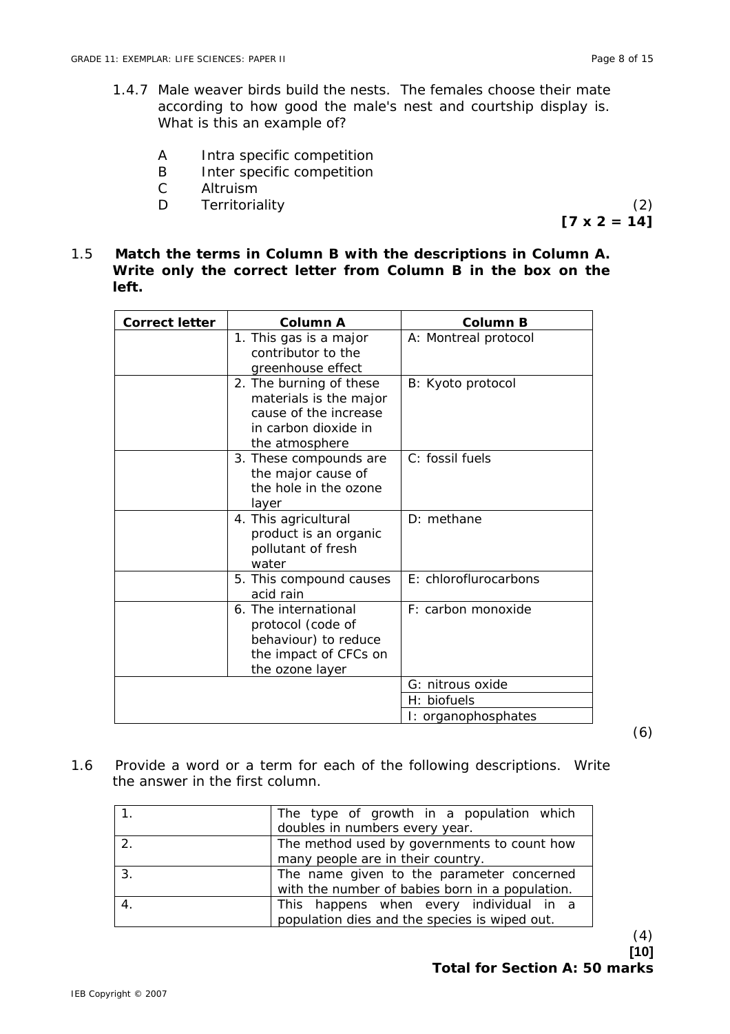- 1.4.7 Male weaver birds build the nests. The females choose their mate according to how good the male's nest and courtship display is. What is this an example of?
	- A Intra specific competition
	- B Inter specific competition
	- C Altruism
	- D Territoriality (2)

 $[7 \times 2 = 14]$ 

1.5 **Match the terms in Column B with the descriptions in Column A. Write only the correct letter from Column B in the box on the left.**

| <b>Correct letter</b> | Column A                                                                                                             | Column B              |
|-----------------------|----------------------------------------------------------------------------------------------------------------------|-----------------------|
|                       | 1. This gas is a major<br>contributor to the<br>greenhouse effect                                                    | A: Montreal protocol  |
|                       | 2. The burning of these<br>materials is the major<br>cause of the increase<br>in carbon dioxide in<br>the atmosphere | B: Kyoto protocol     |
|                       | 3. These compounds are<br>the major cause of<br>the hole in the ozone<br>layer                                       | C: fossil fuels       |
|                       | 4. This agricultural<br>product is an organic<br>pollutant of fresh<br>water                                         | D: methane            |
|                       | 5. This compound causes<br>acid rain                                                                                 | E: chloroflurocarbons |
|                       | 6. The international<br>protocol (code of<br>behaviour) to reduce<br>the impact of CFCs on<br>the ozone layer        | F: carbon monoxide    |
|                       |                                                                                                                      | G: nitrous oxide      |
|                       |                                                                                                                      | H: biofuels           |
|                       |                                                                                                                      | I: organophosphates   |

(6)

1.6 Provide a word or a term for each of the following descriptions. Write the answer in the first column.

| The type of growth in a population which        |
|-------------------------------------------------|
| doubles in numbers every year.                  |
| The method used by governments to count how     |
| many people are in their country.               |
| The name given to the parameter concerned       |
| with the number of babies born in a population. |
| This happens when every individual in a         |
| population dies and the species is wiped out.   |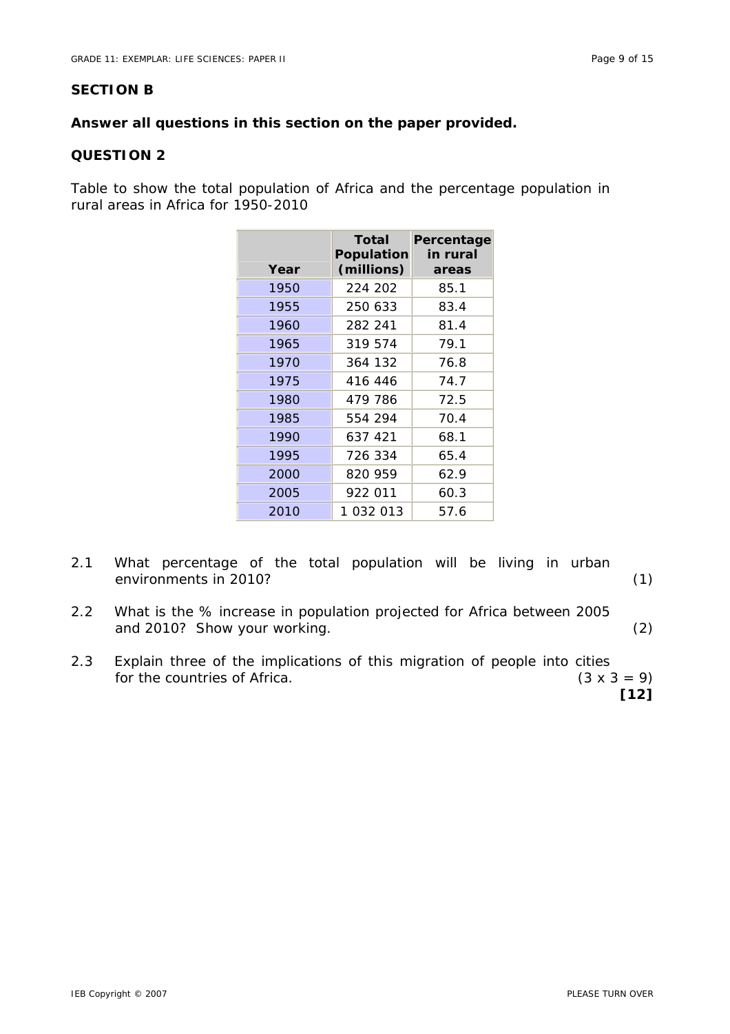# **SECTION B**

# **Answer all questions in this section on the paper provided.**

# **QUESTION 2**

Table to show the total population of Africa and the percentage population in rural areas in Africa for 1950-2010

| Year | Total<br><b>Population</b><br>(millions) | Percentage<br>in rural<br>areas |
|------|------------------------------------------|---------------------------------|
| 1950 | 224 202                                  | 85.1                            |
| 1955 | 250 633                                  | 83.4                            |
| 1960 | 282 241                                  | 81.4                            |
| 1965 | 319 574                                  | 79.1                            |
| 1970 | 364 132                                  | 76.8                            |
| 1975 | 416 446                                  | 74.7                            |
| 1980 | 479 786                                  | 72.5                            |
| 1985 | 554 294                                  | 70.4                            |
| 1990 | 637 421                                  | 68.1                            |
| 1995 | 726 334                                  | 65.4                            |
| 2000 | 820 959                                  | 62.9                            |
| 2005 | 922 011                                  | 60.3                            |
| 2010 | 1 032 013                                | 57.6                            |

- 2.1 What percentage of the total population will be living in urban environments in 2010?
- 2.2 What is the % increase in population projected for Africa between 2005 and 2010? Show your working. (2)
- 2.3 Explain three of the implications of this migration of people into cities for the countries of Africa. (3 x 3 = 9)

**[12]**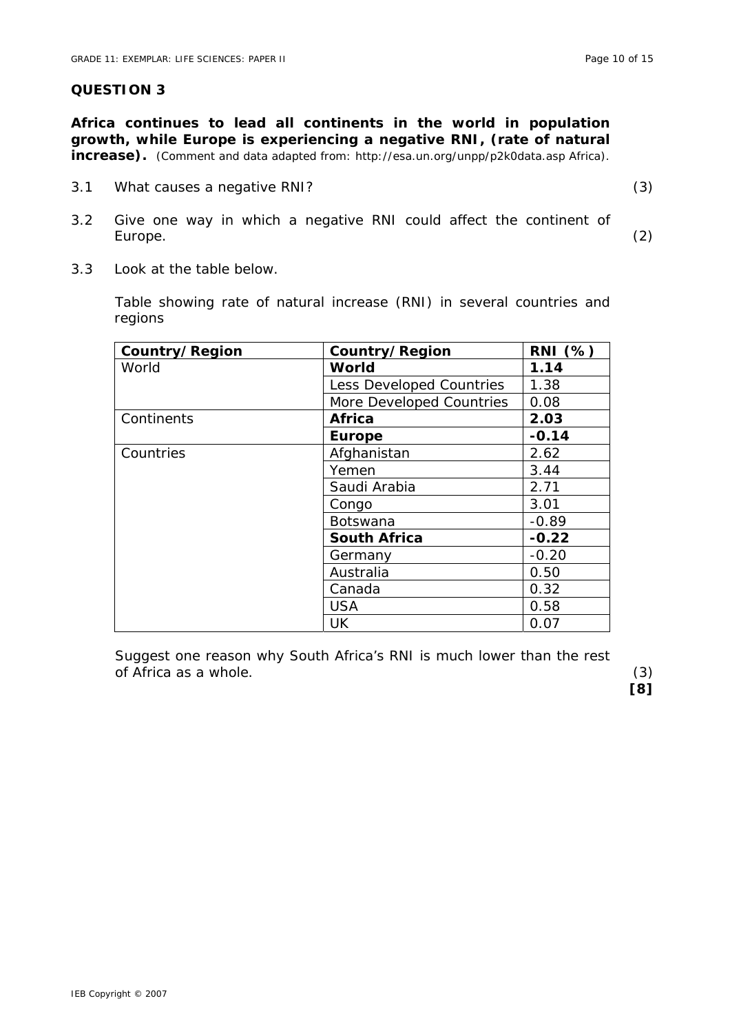**QUESTION 3** 

**increase).** *(Comment and data adapted from: http://esa.un.org/unpp/p2k0data.asp Africa).* 

**Africa continues to lead all continents in the world in population** 

3.1 What causes a negative RNI? (3)

**[8]** 

- 3.2 Give one way in which a negative RNI could affect the continent of Europe. (2)
- 3.3 Look at the table below.

Table showing rate of natural increase (RNI) in several countries and regions

| Country/Region | Country/Region           | <b>RNI</b> (%) |
|----------------|--------------------------|----------------|
| World          | World                    | 1.14           |
|                | Less Developed Countries | 1.38           |
|                | More Developed Countries | 0.08           |
| Continents     | <b>Africa</b>            | 2.03           |
|                | <b>Europe</b>            | $-0.14$        |
| Countries      | Afghanistan              | 2.62           |
|                | Yemen                    | 3.44           |
|                | Saudi Arabia             | 2.71           |
|                | Congo                    | 3.01           |
|                | Botswana                 | $-0.89$        |
|                | <b>South Africa</b>      | $-0.22$        |
|                | Germany                  | $-0.20$        |
|                | Australia                | 0.50           |
|                | Canada                   | 0.32           |
|                | <b>USA</b>               | 0.58           |
|                | UK                       | 0.07           |

Suggest one reason why South Africa's RNI is much lower than the rest of Africa as a whole. (3)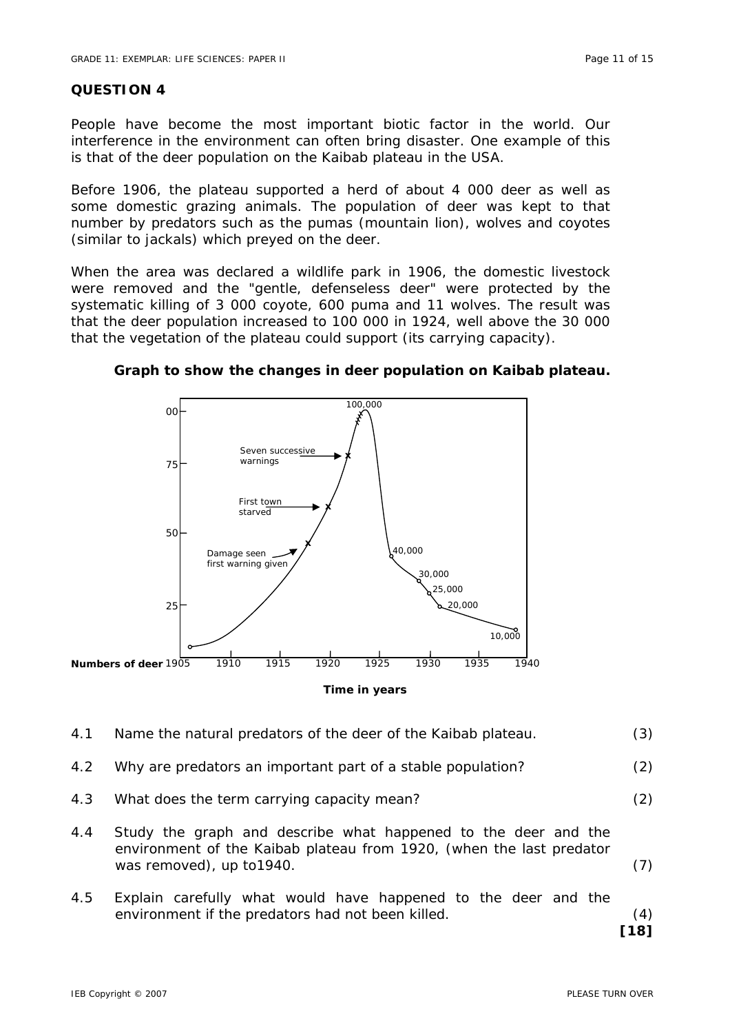#### **QUESTION 4**

People have become the most important biotic factor in the world. Our interference in the environment can often bring disaster. One example of this is that of the deer population on the Kaibab plateau in the USA.

Before 1906, the plateau supported a herd of about 4 000 deer as well as some domestic grazing animals. The population of deer was kept to that number by predators such as the pumas (mountain lion), wolves and coyotes (similar to jackals) which preyed on the deer.

When the area was declared a wildlife park in 1906, the domestic livestock were removed and the "gentle, defenseless deer" were protected by the systematic killing of 3 000 coyote, 600 puma and 11 wolves. The result was that the deer population increased to 100 000 in 1924, well above the 30 000 that the vegetation of the plateau could support (its carrying capacity).



**Graph to show the changes in deer population on Kaibab plateau.** 

**Time in years** 

- 4.1 Name the natural predators of the deer of the Kaibab plateau. (3)
- 4.2 Why are predators an important part of a stable population? (2)
- 4.3 What does the term carrying capacity mean? (2)
- 4.4 Study the graph and describe what happened to the deer and the environment of the Kaibab plateau from 1920, (when the last predator was removed), up to 1940. (7)
- 4.5 Explain carefully what would have happened to the deer and the environment if the predators had not been killed. (4)

**[18]**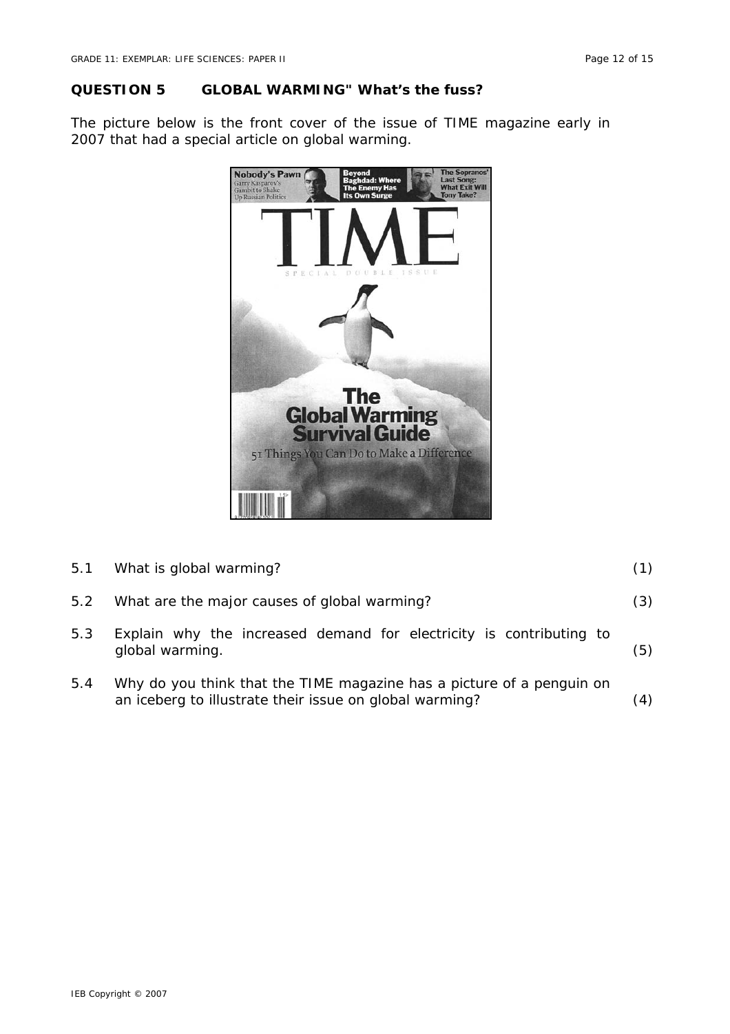### **QUESTION 5 GLOBAL WARMING" What's the fuss?**

The picture below is the front cover of the issue of TIME magazine early in 2007 that had a special article on global warming.



| 5.1 | What is global warming?                                                                                                          | (1) |
|-----|----------------------------------------------------------------------------------------------------------------------------------|-----|
| 5.2 | What are the major causes of global warming?                                                                                     | (3) |
| 5.3 | Explain why the increased demand for electricity is contributing to<br>global warming.                                           | (5) |
| 5.4 | Why do you think that the TIME magazine has a picture of a penguin on<br>an iceberg to illustrate their issue on global warming? | (4) |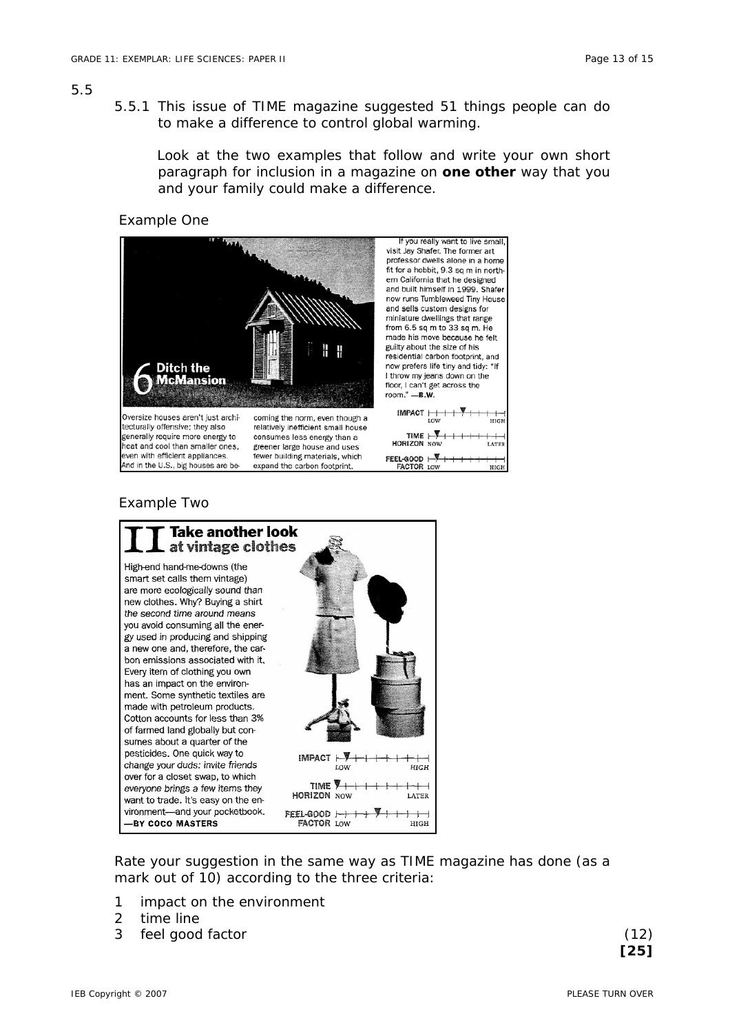#### 5.5

 5.5.1 This issue of TIME magazine suggested 51 things people can do to make a difference to control global warming.

Look at the two examples that follow and write your own short paragraph for inclusion in a magazine on **one other** way that you and your family could make a difference.

Example One



#### Example Two



Rate your suggestion in the same way as TIME magazine has done (as a mark out of 10) according to the three criteria:

- 1 impact on the environment
- 2 time line
- 3 feel good factor (12)

 **[25]**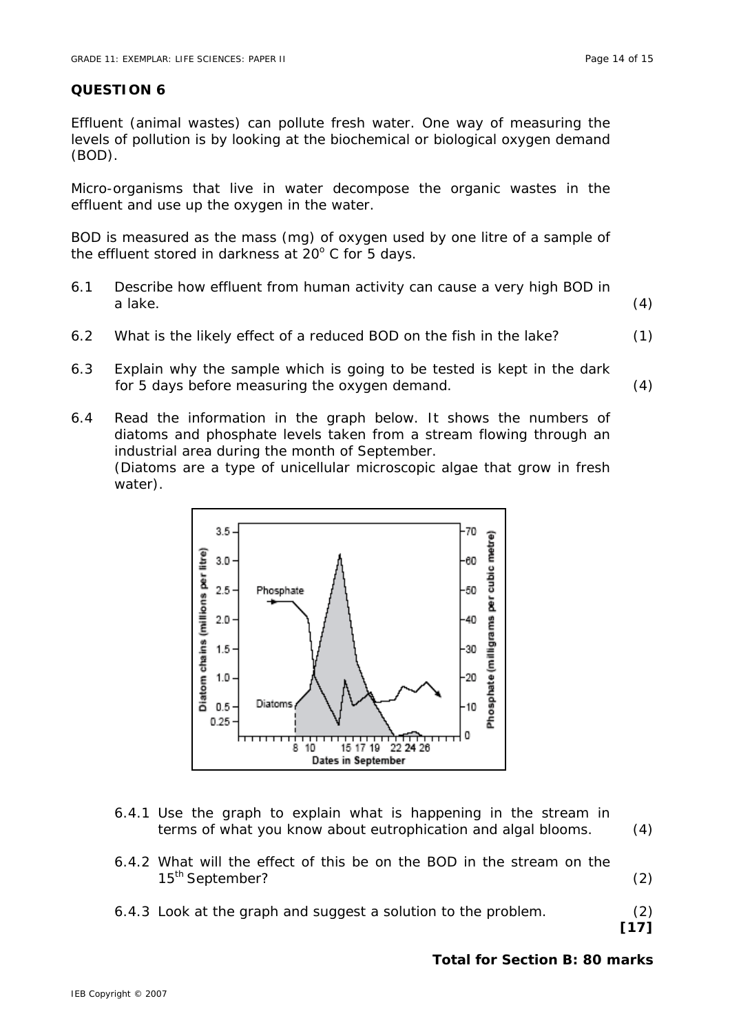# **QUESTION 6**

Effluent (animal wastes) can pollute fresh water. One way of measuring the levels of pollution is by looking at the biochemical or biological oxygen demand (BOD).

Micro-organisms that live in water decompose the organic wastes in the effluent and use up the oxygen in the water.

BOD is measured as the mass (mg) of oxygen used by one litre of a sample of the effluent stored in darkness at  $20^{\circ}$  C for 5 days.

- 6.1 Describe how effluent from human activity can cause a very high BOD in a lake. (4)
- 6.2 What is the likely effect of a reduced BOD on the fish in the lake? (1)
- 6.3 Explain why the sample which is going to be tested is kept in the dark for 5 days before measuring the oxygen demand. (4)
- 6.4 Read the information in the graph below. It shows the numbers of diatoms and phosphate levels taken from a stream flowing through an industrial area during the month of September. (Diatoms are a type of unicellular microscopic algae that grow in fresh water).



- 6.4.1 Use the graph to explain what is happening in the stream in terms of what you know about eutrophication and algal blooms. (4)
- 6.4.2 What will the effect of this be on the BOD in the stream on the 15<sup>th</sup> September? (2)
- 6.4.3 Look at the graph and suggest a solution to the problem. (2)

**[17]** 

# **Total for Section B: 80 marks**